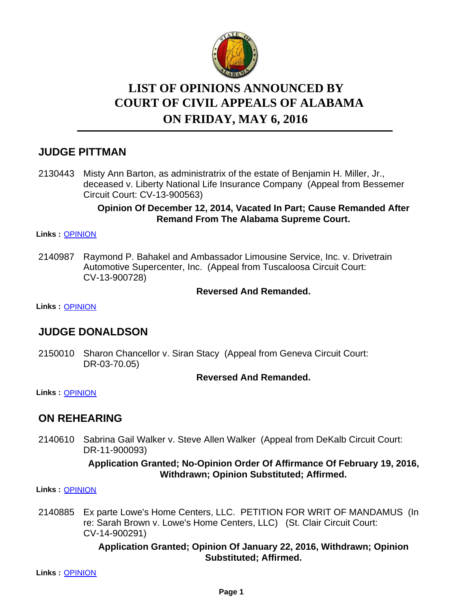

# **LIST OF OPINIONS ANNOUNCED BY ON FRIDAY, MAY 6, 2016 COURT OF CIVIL APPEALS OF ALABAMA**

## **JUDGE PITTMAN**

2130443 Misty Ann Barton, as administratrix of the estate of Benjamin H. Miller, Jr., deceased v. Liberty National Life Insurance Company (Appeal from Bessemer Circuit Court: CV-13-900563)

#### **Opinion Of December 12, 2014, Vacated In Part; Cause Remanded After Remand From The Alabama Supreme Court.**

#### **Links :** [OPINION](https://acis.alabama.gov/displaydocs.cfm?no=734258&event=4MN0KIMPU)

Raymond P. Bahakel and Ambassador Limousine Service, Inc. v. Drivetrain Automotive Supercenter, Inc. (Appeal from Tuscaloosa Circuit Court: CV-13-900728) 2140987

#### **Reversed And Remanded.**

**Links :** [OPINION](https://acis.alabama.gov/displaydocs.cfm?no=734273&event=4MN0L8OLM)

## **JUDGE DONALDSON**

2150010 Sharon Chancellor v. Siran Stacy (Appeal from Geneva Circuit Court: DR-03-70.05)

#### **Reversed And Remanded.**

**Links :** [OPINION](https://acis.alabama.gov/displaydocs.cfm?no=734261&event=4MN0KINE5)

## **ON REHEARING**

2140610 Sabrina Gail Walker v. Steve Allen Walker (Appeal from DeKalb Circuit Court: DR-11-900093)

#### **Application Granted; No-Opinion Order Of Affirmance Of February 19, 2016, Withdrawn; Opinion Substituted; Affirmed.**

**Links :** [OPINION](https://acis.alabama.gov/displaydocs.cfm?no=734259&event=4MN0KIN0A)

2140885 Ex parte Lowe's Home Centers, LLC. PETITION FOR WRIT OF MANDAMUS (In re: Sarah Brown v. Lowe's Home Centers, LLC) (St. Clair Circuit Court: CV-14-900291)

> **Application Granted; Opinion Of January 22, 2016, Withdrawn; Opinion Substituted; Affirmed.**

**Links :** [OPINION](https://acis.alabama.gov/displaydocs.cfm?no=734260&event=4MN0KIN6S)